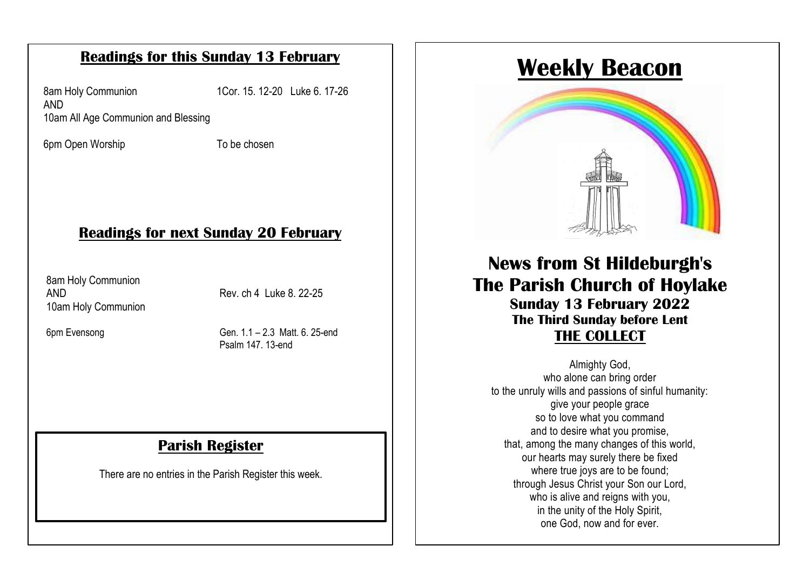#### **Readings for this Sunday 13 February**

8am Holy Communion 1Cor. 15. 12-20 Luke 6. 17-26 AND 10am All Age Communion and Blessing

6pm Open Worship To be chosen

## Each Sunday at 10am, Rev'd Paul will conduct a said **Readings for next Sunday 20 February**

8am Holy Communion 10am Holy Communion AND Rev. ch 4 Luke 8, 22-25

6pm Evensong

Gen. 1.1 – 2.3 Matt. 6. 25-end. Psalm 147. 13-end

#### **Parish Register**

There are no entries in the Parish Register this week.

# **Weekly Beacon**



#### **THE COLLECT News from St Hildeburgh's The Parish Church of Hoylake Sunday 13 February 2022 The Third Sunday before Lent THE COLLECT**

Almighty God, who alone can bring order to the unruly wills and passions of sinful humanity: give your people grace so to love what you command and to desire what you promise, that, among the many changes of this world, our hearts may surely there be fixed where true joys are to be found; through Jesus Christ your Son our Lord, who is alive and reigns with you, in the unity of the Holy Spirit, one God, now and for ever.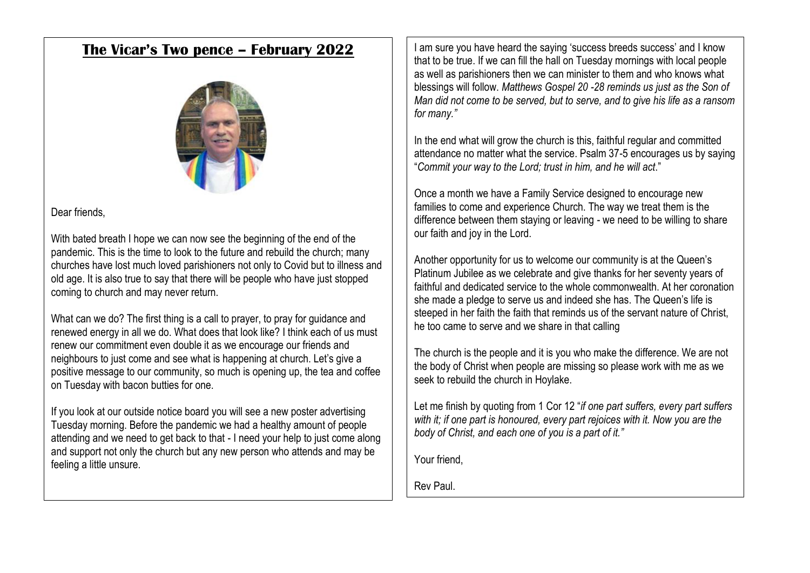#### **The Vicar's Two pence – February 2022**



#### Dear friends,

With bated breath I hope we can now see the beginning of the end of the pandemic. This is the time to look to the future and rebuild the church; many churches have lost much loved parishioners not only to Covid but to illness and old age. It is also true to say that there will be people who have just stopped coming to church and may never return.

What can we do? The first thing is a call to prayer, to pray for guidance and renewed energy in all we do. What does that look like? I think each of us must renew our commitment even double it as we encourage our friends and neighbours to just come and see what is happening at church. Let's give a positive message to our community, so much is opening up, the tea and coffee on Tuesday with bacon butties for one.

If you look at our outside notice board you will see a new poster advertising Tuesday morning. Before the pandemic we had a healthy amount of people attending and we need to get back to that - I need your help to just come along and support not only the church but any new person who attends and may be feeling a little unsure.

I am sure you have heard the saying 'success breeds success' and I know that to be true. If we can fill the hall on Tuesday mornings with local people as well as parishioners then we can minister to them and who knows what blessings will follow. *Matthews Gospel 20 -28 reminds us just as the Son of Man did not come to be served, but to serve, and to give his life as a ransom for many."*

In the end what will grow the church is this, faithful regular and committed attendance no matter what the service. Psalm 37-5 encourages us by saying "*Commit your way to the Lord; trust in him, and he will act*."

Once a month we have a Family Service designed to encourage new families to come and experience Church. The way we treat them is the difference between them staying or leaving - we need to be willing to share our faith and joy in the Lord.

Another opportunity for us to welcome our community is at the Queen's Platinum Jubilee as we celebrate and give thanks for her seventy years of faithful and dedicated service to the whole commonwealth. At her coronation she made a pledge to serve us and indeed she has. The Queen's life is steeped in her faith the faith that reminds us of the servant nature of Christ, he too came to serve and we share in that calling

The church is the people and it is you who make the difference. We are not the body of Christ when people are missing so please work with me as we seek to rebuild the church in Hoylake.

Let me finish by quoting from 1 Cor 12 "*if one part suffers, every part suffers with it; if one part is honoured, every part rejoices with it. Now you are the body of Christ, and each one of you is a part of it."*

Your friend,

Rev Paul.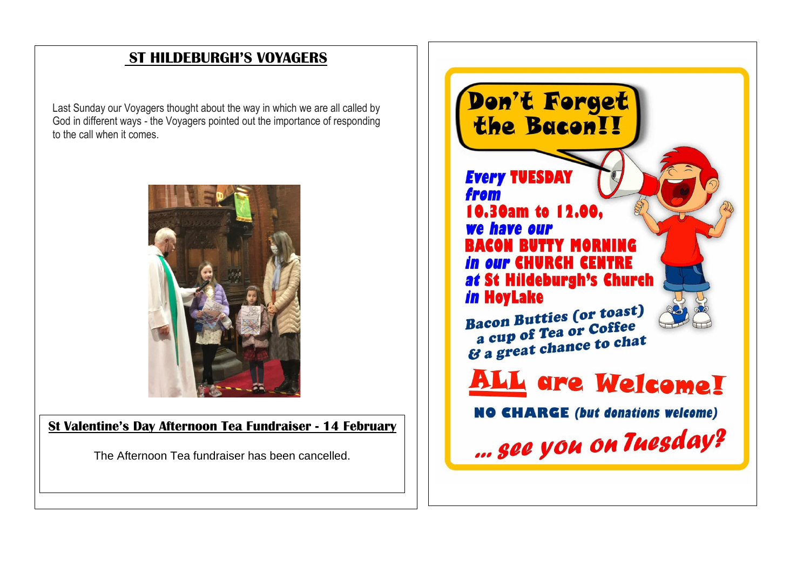## **ST HILDEBURGH'S VOYAGERS**

Last Sunday our Voyagers thought about the way in which we are all called by God in different ways - the Voyagers pointed out the importance of responding to the call when it comes.



**St Valentine's Day Afternoon Tea Fundraiser - 14 February**

The Afternoon Tea fundraiser has been cancelled.

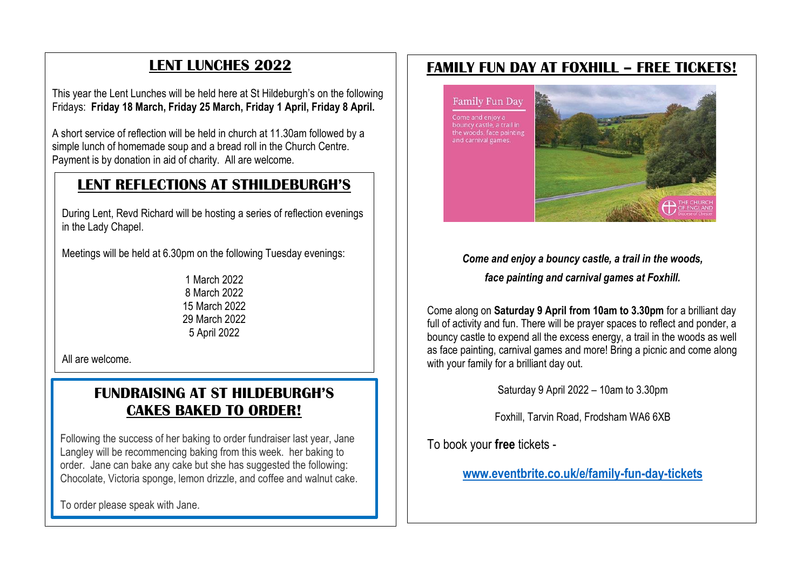### **LENT LUNCHES 2022**

This year the Lent Lunches will be held here at St Hildeburgh's on the following Fridays: **Friday 18 March, Friday 25 March, Friday 1 April, Friday 8 April.**

A short service of reflection will be held in church at 11.30am followed by a simple lunch of homemade soup and a bread roll in the Church Centre. Payment is by donation in aid of charity. All are welcome.

#### **LENT REFLECTIONS AT STHILDEBURGH'S**

During Lent, Revd Richard will be hosting a series of reflection evenings in the Lady Chapel.

Meetings will be held at 6.30pm on the following Tuesday evenings:

1 March 2022 8 March 2022 15 March 2022 29 March 2022 5 April 2022

All are welcome.

#### **FUNDRAISING AT ST HILDEBURGH'S CAKES BAKED TO ORDER!**

Following the success of her baking to order fundraiser last year, Jane Langley will be recommencing baking from this week. her baking to order. Jane can bake any cake but she has suggested the following: Chocolate, Victoria sponge, lemon drizzle, and coffee and walnut cake.

To order please speak with Jane.

#### **FAMILY FUN DAY AT FOXHILL – FREE TICKETS!**

**Family Fun Day** 

Come and enjoy a the woods, face painting and carnival games.



*Come and enjoy a bouncy castle, a trail in the woods,* 

*face painting and carnival games at Foxhill.*

Come along on **Saturday 9 April from 10am to 3.30pm** for a brilliant day full of activity and fun. There will be prayer spaces to reflect and ponder, a bouncy castle to expend all the excess energy, a trail in the woods as well as face painting, carnival games and more! Bring a picnic and come along with your family for a brilliant day out.

Saturday 9 April 2022 – 10am to 3.30pm

Foxhill, Tarvin Road, Frodsham WA6 6XB

To book your **free** tickets -

**[www.eventbrite.co.uk/e/family-fun-day-tickets](http://www.eventbrite.co.uk/e/family-fun-day-tickets)**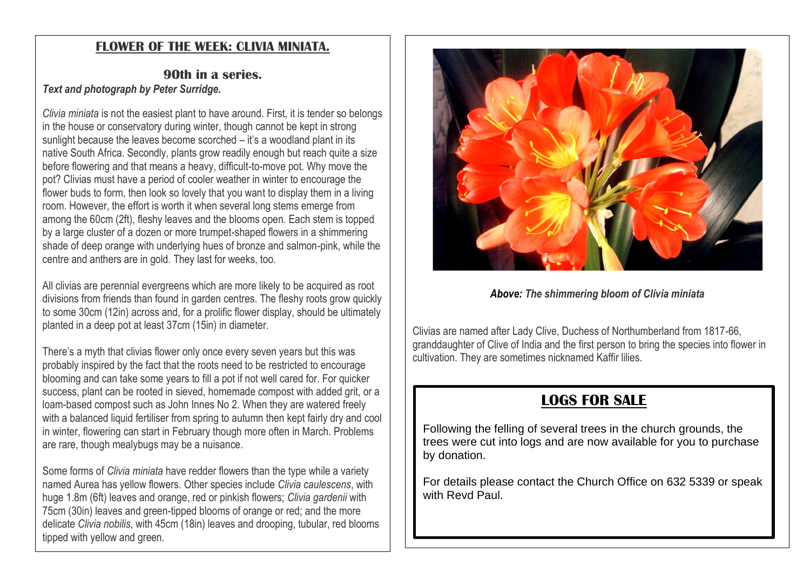#### **FLOWER OF THE WEEK: CLIVIA MINIATA.**

#### **90th in a series.** *Text and photograph by Peter Surridge.*

*Clivia miniata* is not the easiest plant to have around. First, it is tender so belongs in the house or conservatory during winter, though cannot be kept in strong sunlight because the leaves become scorched – it's a woodland plant in its native South Africa. Secondly, plants grow readily enough but reach quite a size before flowering and that means a heavy, difficult-to-move pot. Why move the pot? Clivias must have a period of cooler weather in winter to encourage the flower buds to form, then look so lovely that you want to display them in a living room. However, the effort is worth it when several long stems emerge from among the 60cm (2ft), fleshy leaves and the blooms open. Each stem is topped by a large cluster of a dozen or more trumpet-shaped flowers in a shimmering shade of deep orange with underlying hues of bronze and salmon-pink, while the centre and anthers are in gold. They last for weeks, too.

All clivias are perennial evergreens which are more likely to be acquired as root divisions from friends than found in garden centres. The fleshy roots grow quickly to some 30cm (12in) across and, for a prolific flower display, should be ultimately planted in a deep pot at least 37cm (15in) in diameter.

There's a myth that clivias flower only once every seven years but this was probably inspired by the fact that the roots need to be restricted to encourage blooming and can take some years to fill a pot if not well cared for. For quicker success, plant can be rooted in sieved, homemade compost with added grit, or a loam-based compost such as John Innes No 2. When they are watered freely with a balanced liquid fertiliser from spring to autumn then kept fairly dry and cool in winter, flowering can start in February though more often in March. Problems are rare, though mealybugs may be a nuisance.

Some forms of *Clivia miniata* have redder flowers than the type while a variety named Aurea has yellow flowers. Other species include *Clivia caulescens*, with huge 1.8m (6ft) leaves and orange, red or pinkish flowers; *Clivia gardenii* with 75cm (30in) leaves and green-tipped blooms of orange or red; and the more delicate *Clivia nobilis*, with 45cm (18in) leaves and drooping, tubular, red blooms tipped with yellow and green.



*Above: The shimmering bloom of Clivia miniata*

Clivias are named after Lady Clive, Duchess of Northumberland from 1817-66, granddaughter of Clive of India and the first person to bring the species into flower in cultivation. They are sometimes nicknamed Kaffir lilies.

# **LOGS FOR SALE**

Following the felling of several trees in the church grounds, the trees were cut into logs and are now available for you to purchase by donation.

For details please contact the Church Office on 632 5339 or speak with Revd Paul.